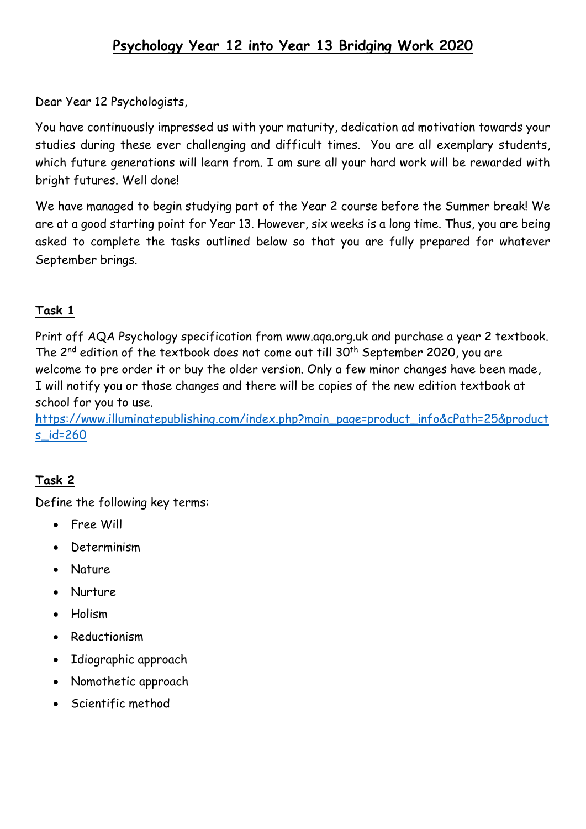Dear Year 12 Psychologists,

You have continuously impressed us with your maturity, dedication ad motivation towards your studies during these ever challenging and difficult times. You are all exemplary students, which future generations will learn from. I am sure all your hard work will be rewarded with bright futures. Well done!

We have managed to begin studying part of the Year 2 course before the Summer break! We are at a good starting point for Year 13. However, six weeks is a long time. Thus, you are being asked to complete the tasks outlined below so that you are fully prepared for whatever September brings.

# **Task 1**

Print off AQA Psychology specification from [www.aqa.org.uk](http://www.aqa.org.uk/) and purchase a year 2 textbook. The  $2^{nd}$  edition of the textbook does not come out till  $30^{th}$  September 2020, you are welcome to pre order it or buy the older version. Only a few minor changes have been made, I will notify you or those changes and there will be copies of the new edition textbook at school for you to use.

[https://www.illuminatepublishing.com/index.php?main\\_page=product\\_info&cPath=25&product](https://www.illuminatepublishing.com/index.php?main_page=product_info&cPath=25&products_id=260) [s\\_id=260](https://www.illuminatepublishing.com/index.php?main_page=product_info&cPath=25&products_id=260)

## **Task 2**

Define the following key terms:

- Free Will
- Determinism
- Nature
- Nurture
- Holism
- Reductionism
- Idiographic approach
- Nomothetic approach
- Scientific method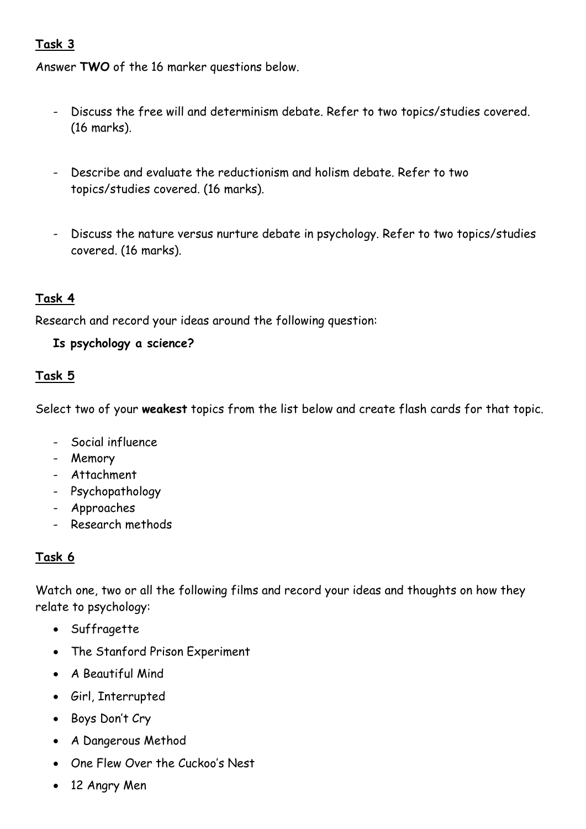#### **Task 3**

Answer **TWO** of the 16 marker questions below.

- Discuss the free will and determinism debate. Refer to two topics/studies covered. (16 marks).
- Describe and evaluate the reductionism and holism debate. Refer to two topics/studies covered. (16 marks).
- Discuss the nature versus nurture debate in psychology. Refer to two topics/studies covered. (16 marks).

#### **Task 4**

Research and record your ideas around the following question:

#### **Is psychology a science?**

#### **Task 5**

Select two of your **weakest** topics from the list below and create flash cards for that topic.

- Social influence
- Memory
- Attachment
- Psychopathology
- Approaches
- Research methods

### **Task 6**

Watch one, two or all the following films and record your ideas and thoughts on how they relate to psychology:

- Suffragette
- The Stanford Prison Experiment
- A Beautiful Mind
- Girl, Interrupted
- Boys Don't Cry
- A Dangerous Method
- One Flew Over the Cuckoo's Nest
- 12 Angry Men